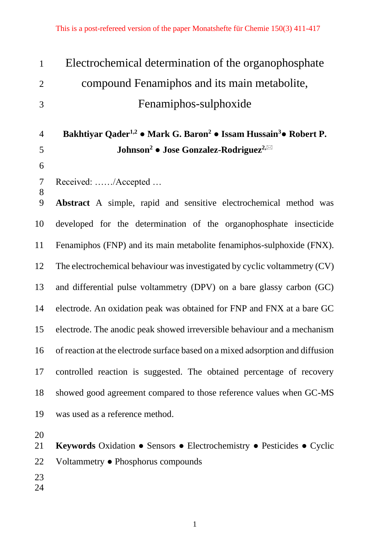| $\mathbf{1}$   | Electrochemical determination of the organophosphate                                                 |
|----------------|------------------------------------------------------------------------------------------------------|
| $\overline{2}$ | compound Fenamiphos and its main metabolite,                                                         |
| 3              | Fenamiphos-sulphoxide                                                                                |
|                |                                                                                                      |
| $\overline{4}$ | Bakhtiyar Qader <sup>1,2</sup> • Mark G. Baron <sup>2</sup> • Issam Hussain <sup>3</sup> • Robert P. |
| 5              | Johnson <sup>2</sup> • Jose Gonzalez-Rodriguez <sup>2,<math>\boxtimes</math></sup>                   |
| 6              |                                                                                                      |
| $\overline{7}$ | Received: /Accepted                                                                                  |
| $8\,$<br>9     | Abstract A simple, rapid and sensitive electrochemical method was                                    |
| 10             | developed for the determination of the organophosphate insecticide                                   |
| 11             | Fenamiphos (FNP) and its main metabolite fenamiphos-sulphoxide (FNX).                                |
| 12             | The electrochemical behaviour was investigated by cyclic voltammetry (CV)                            |
| 13             | and differential pulse voltammetry (DPV) on a bare glassy carbon (GC)                                |
| 14             | electrode. An oxidation peak was obtained for FNP and FNX at a bare GC                               |
| 15             | electrode. The anodic peak showed irreversible behaviour and a mechanism                             |
|                | 16 of reaction at the electrode surface based on a mixed adsorption and diffusion                    |
| 17             | controlled reaction is suggested. The obtained percentage of recovery                                |
| 18             | showed good agreement compared to those reference values when GC-MS                                  |
| 19             | was used as a reference method.                                                                      |
| 20             |                                                                                                      |
| 21             | Keywords Oxidation • Sensors • Electrochemistry • Pesticides • Cyclic                                |
| 22             | Voltammetry • Phosphorus compounds                                                                   |
|                |                                                                                                      |

- 
-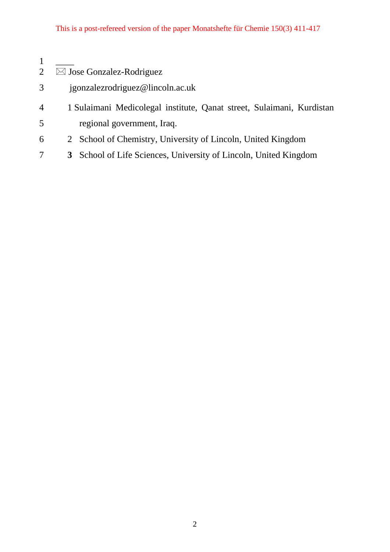- $\frac{1}{2}$  $\overline{\boxtimes}$  Jose Gonzalez-Rodriguez
- jgonzalezrodriguez@lincoln.ac.uk
- 1 Sulaimani Medicolegal institute, Qanat street, Sulaimani, Kurdistan regional government, Iraq.
- 2 School of Chemistry, University of Lincoln, United Kingdom
- **3** School of Life Sciences, University of Lincoln, United Kingdom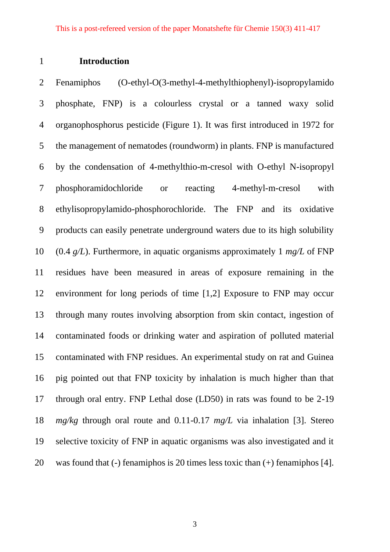### **Introduction**

 Fenamiphos (O-ethyl-O(3-methyl-4-methylthiophenyl)-isopropylamido phosphate, FNP) is a colourless crystal or a tanned waxy solid organophosphorus pesticide (Figure 1). It was first introduced in 1972 for the management of nematodes (roundworm) in plants. FNP is manufactured by the condensation of 4-methylthio-m-cresol with O-ethyl N-isopropyl phosphoramidochloride or reacting 4-methyl-m-cresol with ethylisopropylamido-phosphorochloride. The FNP and its oxidative products can easily penetrate underground waters due to its high solubility (0.4 *g/L*). Furthermore, in aquatic organisms approximately 1 *mg/L* of FNP residues have been measured in areas of exposure remaining in the environment for long periods of time [1,2] Exposure to FNP may occur through many routes involving absorption from skin contact, ingestion of contaminated foods or drinking water and aspiration of polluted material contaminated with FNP residues. An experimental study on rat and Guinea pig pointed out that FNP toxicity by inhalation is much higher than that through oral entry. FNP Lethal dose (LD50) in rats was found to be 2-19 *mg/kg* through oral route and 0.11-0.17 *mg/L* via inhalation [3]. Stereo selective toxicity of FNP in aquatic organisms was also investigated and it was found that (-) fenamiphos is 20 times less toxic than (+) fenamiphos [4].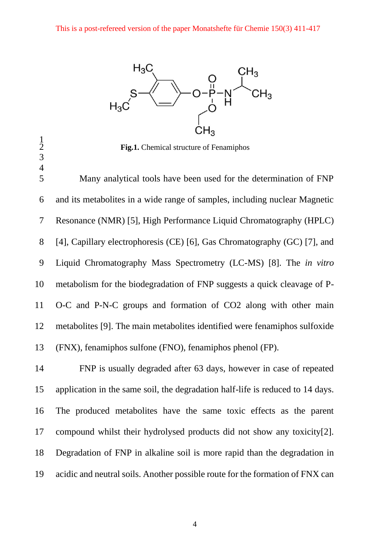

Fig.1. Chemical structure of Fenamiphos

 

 Many analytical tools have been used for the determination of FNP and its metabolites in a wide range of samples, including nuclear Magnetic Resonance (NMR) [5], High Performance Liquid Chromatography (HPLC) [4], Capillary electrophoresis (CE) [6], Gas Chromatography (GC) [7], and Liquid Chromatography Mass Spectrometry (LC-MS) [8]. The *in vitro* metabolism for the biodegradation of FNP suggests a quick cleavage of P- O-C and P-N-C groups and formation of CO2 along with other main metabolites [9]. The main metabolites identified were fenamiphos sulfoxide (FNX), fenamiphos sulfone (FNO), fenamiphos phenol (FP).

 FNP is usually degraded after 63 days, however in case of repeated application in the same soil, the degradation half-life is reduced to 14 days. The produced metabolites have the same toxic effects as the parent compound whilst their hydrolysed products did not show any toxicity[2]. Degradation of FNP in alkaline soil is more rapid than the degradation in acidic and neutral soils. Another possible route for the formation of FNX can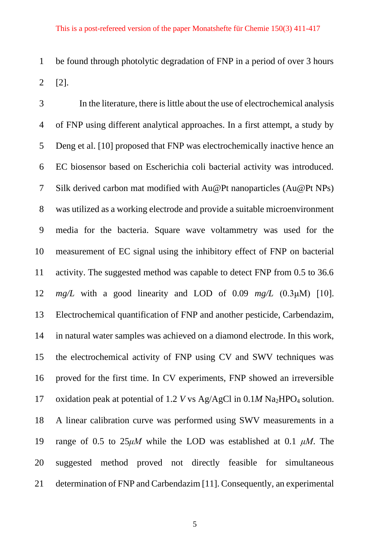be found through photolytic degradation of FNP in a period of over 3 hours [2].

 In the literature, there is little about the use of electrochemical analysis of FNP using different analytical approaches. In a first attempt, a study by Deng et al. [10] proposed that FNP was electrochemically inactive hence an EC biosensor based on Escherichia coli bacterial activity was introduced. Silk derived carbon mat modified with Au@Pt nanoparticles (Au@Pt NPs) was utilized as a working electrode and provide a suitable microenvironment media for the bacteria. Square wave voltammetry was used for the measurement of EC signal using the inhibitory effect of FNP on bacterial activity. The suggested method was capable to detect FNP from 0.5 to 36.6 *mg/L* with a good linearity and LOD of 0.09 *mg/L* (0.3μM) [10]. Electrochemical quantification of FNP and another pesticide, Carbendazim, in natural water samples was achieved on a diamond electrode. In this work, the electrochemical activity of FNP using CV and SWV techniques was proved for the first time. In CV experiments, FNP showed an irreversible 17 oxidation peak at potential of 1.2 *V* vs Ag/AgCl in  $0.1M$  Na<sub>2</sub>HPO<sub>4</sub> solution. A linear calibration curve was performed using SWV measurements in a range of 0.5 to 25*μM* while the LOD was established at 0.1 *μM*. The suggested method proved not directly feasible for simultaneous determination of FNP and Carbendazim [11]. Consequently, an experimental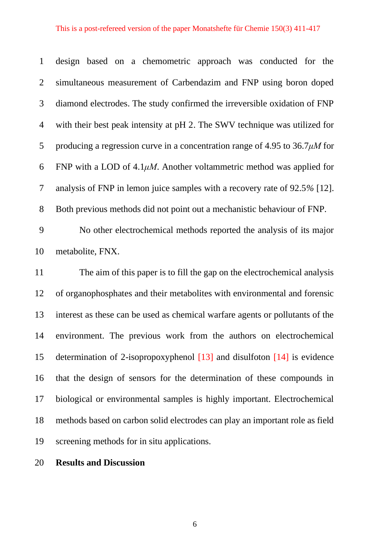### This is a post-refereed version of the paper Monatshefte für Chemie 150(3) 411-417

 design based on a chemometric approach was conducted for the simultaneous measurement of Carbendazim and FNP using boron doped diamond electrodes. The study confirmed the irreversible oxidation of FNP with their best peak intensity at pH 2. The SWV technique was utilized for producing a regression curve in a concentration range of 4.95 to 36.7*μM* for FNP with a LOD of 4.1*μM*. Another voltammetric method was applied for analysis of FNP in lemon juice samples with a recovery rate of 92.5*%* [12]. Both previous methods did not point out a mechanistic behaviour of FNP.

 No other electrochemical methods reported the analysis of its major metabolite, FNX.

 The aim of this paper is to fill the gap on the electrochemical analysis of organophosphates and their metabolites with environmental and forensic interest as these can be used as chemical warfare agents or pollutants of the environment. The previous work from the authors on electrochemical determination of 2-isopropoxyphenol [13] and disulfoton [14] is evidence that the design of sensors for the determination of these compounds in biological or environmental samples is highly important. Electrochemical methods based on carbon solid electrodes can play an important role as field screening methods for in situ applications.

**Results and Discussion**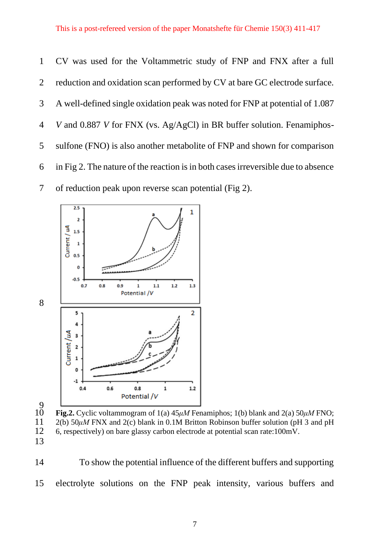CV was used for the Voltammetric study of FNP and FNX after a full reduction and oxidation scan performed by CV at bare GC electrode surface. A well-defined single oxidation peak was noted for FNP at potential of 1.087 *V* and 0.887 *V* for FNX (vs. Ag/AgCl) in BR buffer solution. Fenamiphos- sulfone (FNO) is also another metabolite of FNP and shown for comparison in Fig 2. The nature of the reaction is in both cases irreversible due to absence of reduction peak upon reverse scan potential (Fig 2).



 $10^{9}$  **Fig.2.** Cyclic voltammogram of 1(a) 45*μM* Fenamiphos; 1(b) blank and 2(a) 50*μM* FNO; 2(b) 50*μM* FNX and 2(c) blank in 0.1M Britton Robinson buffer solution (pH 3 and pH 6, respectively) on bare glassy carbon electrode at potential scan rate:100mV. 

 To show the potential influence of the different buffers and supporting electrolyte solutions on the FNP peak intensity, various buffers and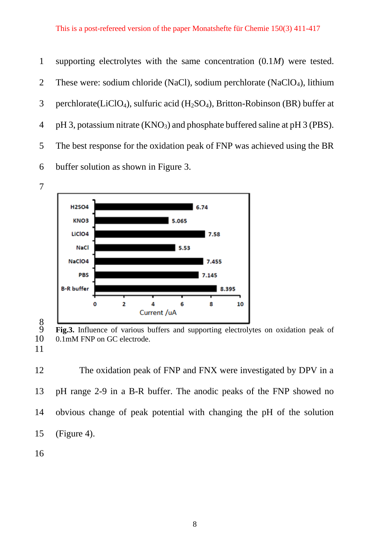supporting electrolytes with the same concentration (0.1*M*) were tested. 2 These were: sodium chloride (NaCl), sodium perchlorate (NaClO<sub>4</sub>), lithium 3 perchlorate(LiClO<sub>4</sub>), sulfuric acid (H<sub>2</sub>SO<sub>4</sub>), Britton-Robinson (BR) buffer at 4 pH 3, potassium nitrate  $(KNO<sub>3</sub>)$  and phosphate buffered saline at pH 3 (PBS). The best response for the oxidation peak of FNP was achieved using the BR buffer solution as shown in Figure 3.



**Fig.3.** Influence of various buffers and supporting electrolytes on oxidation peak of 10 0.1mM FNP on GC electrode. 0.1mM FNP on GC electrode.

 The oxidation peak of FNP and FNX were investigated by DPV in a pH range 2-9 in a B-R buffer. The anodic peaks of the FNP showed no obvious change of peak potential with changing the pH of the solution (Figure 4).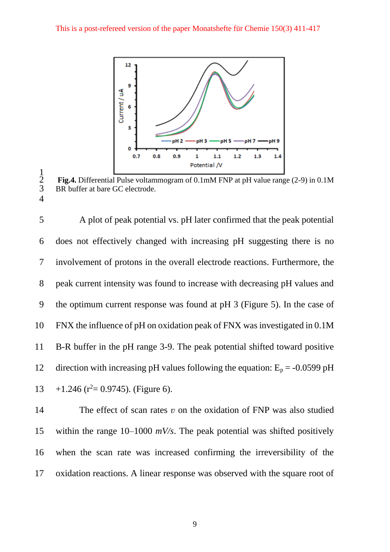

 $\frac{1}{2}$ Fig.4. Differential Pulse voltammogram of 0.1mM FNP at pH value range (2-9) in 0.1M BR buffer at bare GC electrode. 

 A plot of peak potential vs. pH later confirmed that the peak potential does not effectively changed with increasing pH suggesting there is no involvement of protons in the overall electrode reactions. Furthermore, the peak current intensity was found to increase with decreasing pH values and the optimum current response was found at pH 3 (Figure 5). In the case of FNX the influence of pH on oxidation peak of FNX was investigated in 0.1M B-R buffer in the pH range 3-9. The peak potential shifted toward positive 12 direction with increasing pH values following the equation:  $E_p = -0.0599$  pH  $13 + 1.246$  ( $r^2 = 0.9745$ ). (Figure 6).

14 The effect of scan rates *v* on the oxidation of FNP was also studied within the range 10–1000 *mV/s*. The peak potential was shifted positively when the scan rate was increased confirming the irreversibility of the oxidation reactions. A linear response was observed with the square root of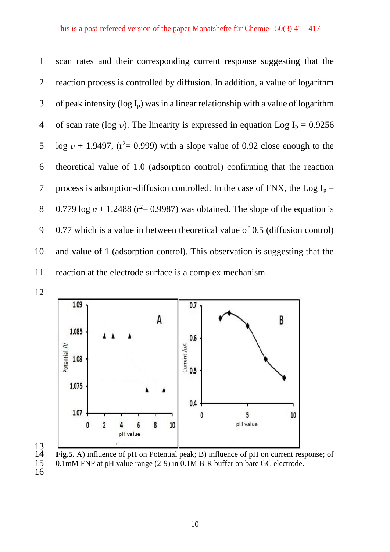scan rates and their corresponding current response suggesting that the reaction process is controlled by diffusion. In addition, a value of logarithm 3 of peak intensity ( $log I_p$ ) was in a linear relationship with a value of logarithm 4 of scan rate (log *v*). The linearity is expressed in equation Log  $I_p = 0.9256$  $\log v + 1.9497$ , ( $r^2 = 0.999$ ) with a slope value of 0.92 close enough to the theoretical value of 1.0 (adsorption control) confirming that the reaction 7 process is adsorption-diffusion controlled. In the case of FNX, the Log  $I_p =$  $0.779 \log v + 1.2488$  ( $r^2 = 0.9987$ ) was obtained. The slope of the equation is 0.77 which is a value in between theoretical value of 0.5 (diffusion control) and value of 1 (adsorption control). This observation is suggesting that the reaction at the electrode surface is a complex mechanism.







**Fig.5.** A) influence of pH on Potential peak; B) influence of pH on current response; of 15 0.1mM FNP at pH value range (2-9) in 0.1M B-R buffer on bare GC electrode.  $0.1 \text{m}$ M FNP at pH value range (2-9) in  $0.1 \text{m}$  B-R buffer on bare GC electrode.

16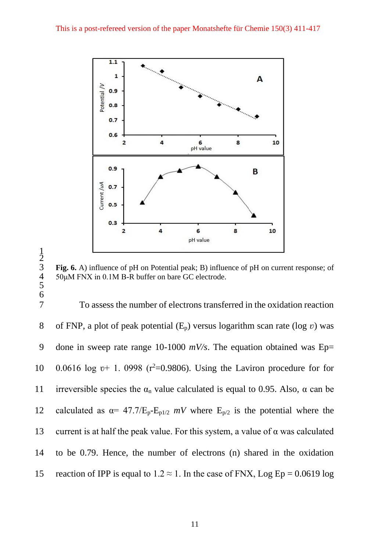

3 **Fig. 6.** A) influence of pH on Potential peak; B) influence of pH on current response; of 50μM FNX in 0.1M B-R buffer on bare GC electrode.

7 To assess the number of electrons transferred in the oxidation reaction 8 of FNP, a plot of peak potential  $(E_p)$  versus logarithm scan rate (log *v*) was 9 done in sweep rate range 10-1000 *mV/s*. The equation obtained was Ep= 10 0.0616 log v+ 1. 0998 ( $r^2$ =0.9806). Using the Laviron procedure for for 11 irreversible species the  $\alpha_n$  value calculated is equal to 0.95. Also,  $\alpha$  can be 12 calculated as  $\alpha = 47.7/E_p-E_{p1/2}$  *mV* where  $E_{p/2}$  is the potential where the 13 current is at half the peak value. For this system, a value of  $\alpha$  was calculated 14 to be 0.79. Hence, the number of electrons (n) shared in the oxidation 15 reaction of IPP is equal to  $1.2 \approx 1$ . In the case of FNX, Log Ep = 0.0619 log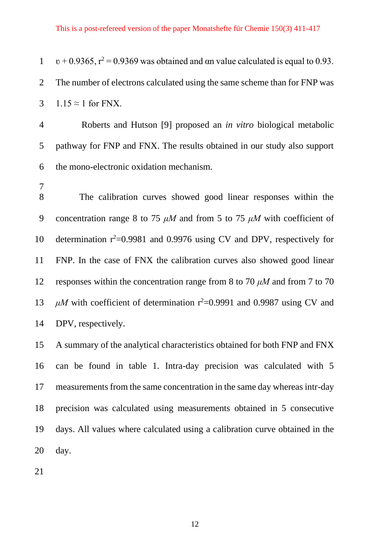$v + 0.9365$ ,  $r^2 = 0.9369$  was obtained and αn value calculated is equal to 0.93. The number of electrons calculated using the same scheme than for FNP was 3 1.15  $\approx$  1 for FNX.

 Roberts and Hutson [9] proposed an *in vitro* biological metabolic pathway for FNP and FNX. The results obtained in our study also support the mono-electronic oxidation mechanism.

 The calibration curves showed good linear responses within the concentration range 8 to 75 *μM* and from 5 to 75 *μM* with coefficient of 10 determination  $r^2$ =0.9981 and 0.9976 using CV and DPV, respectively for FNP. In the case of FNX the calibration curves also showed good linear responses within the concentration range from 8 to 70 *μM* and from 7 to 70  $\mu$ M with coefficient of determination  $r^2$ =0.9991 and 0.9987 using CV and DPV, respectively.

 A summary of the analytical characteristics obtained for both FNP and FNX can be found in table 1. Intra-day precision was calculated with 5 measurements from the same concentration in the same day whereas intr-day precision was calculated using measurements obtained in 5 consecutive days. All values where calculated using a calibration curve obtained in the day.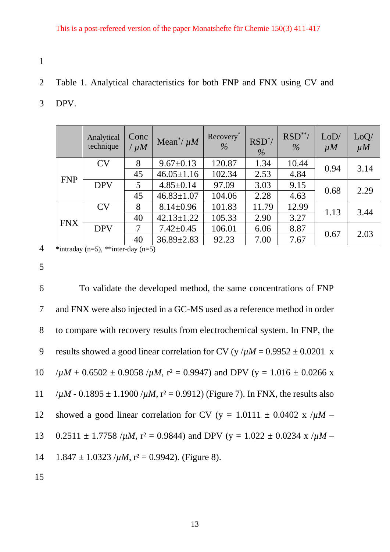- 1
- 2 Table 1. Analytical characteristics for both FNP and FNX using CV and
- 3 DPV.

|            | Analytical<br>technique | Conc<br>$/\mu M$ | Mean <sup>*</sup> / $\mu$ <i>M</i> | Recovery*<br>$\%$ | $RSD^*$<br>$\frac{0}{0}$ | $RSD**/$<br>$\%$ | LoD/<br>$\mu$ <i>M</i> | LoQ/<br>$\mu$ <i>M</i> |
|------------|-------------------------|------------------|------------------------------------|-------------------|--------------------------|------------------|------------------------|------------------------|
|            | CV                      | 8                | $9.67 \pm 0.13$                    | 120.87            | 1.34                     | 10.44            | 0.94                   | 3.14                   |
| <b>FNP</b> |                         | 45               | $46.05 \pm 1.16$                   | 102.34            | 2.53                     | 4.84             |                        |                        |
|            | <b>DPV</b>              | 5                | $4.85 \pm 0.14$                    | 97.09             | 3.03                     | 9.15             |                        | 2.29                   |
|            |                         | 45               | $46.83 \pm 1.07$                   | 104.06            | 2.28                     | 4.63             | 0.68                   |                        |
|            | CV                      | 8                | $8.14 \pm 0.96$                    | 101.83            | 11.79                    | 12.99            | 1.13                   | 3.44                   |
| <b>FNX</b> |                         | 40               | $42.13 \pm 1.22$                   | 105.33            | 2.90                     | 3.27             |                        |                        |
|            | <b>DPV</b>              | 7                | $7.42 \pm 0.45$                    | 106.01            | 6.06                     | 8.87             |                        | 2.03                   |
|            |                         | 40               | $36.89 \pm 2.83$                   | 92.23             | 7.00                     | 7.67             | 0.67                   |                        |

4 \*intraday (n=5), \*\*inter-day (n=5)

5

6 To validate the developed method, the same concentrations of FNP 7 and FNX were also injected in a GC-MS used as a reference method in order 8 to compare with recovery results from electrochemical system. In FNP, the 9 results showed a good linear correlation for CV (y  $/\mu M = 0.9952 \pm 0.0201$  x  $10$  / $\mu$ *M* + 0.6502  $\pm$  0.9058 / $\mu$ *M*, r<sup>2</sup> = 0.9947) and DPV (y = 1.016  $\pm$  0.0266 x 11  $/\mu$ *M* - 0.1895  $\pm$  1.1900  $/\mu$ *M*, r<sup>2</sup> = 0.9912) (Figure 7). In FNX, the results also 12 showed a good linear correlation for CV (y = 1.0111  $\pm$  0.0402 x / $\mu$ M – 13 0.2511  $\pm$  1.7758 / $\mu$ *M*, r<sup>2</sup> = 0.9844) and DPV (y = 1.022  $\pm$  0.0234 x / $\mu$ *M* – 14  $1.847 \pm 1.0323$  / $\mu$ *M*, r<sup>2</sup> = 0.9942). (Figure 8). 15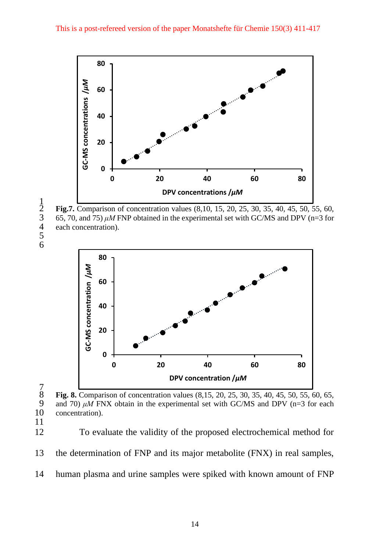

 **Fig.7.** Comparison of concentration values (8,10, 15, 20, 25, 30, 35, 40, 45, 50, 55, 60, 65, 70, and 75)  $\mu$ *M* FNP obtained in the experimental set with GC/MS and DPV (n=3 for each concentration).

 



 $\begin{array}{c} 7 \\ 8 \end{array}$ 



 To evaluate the validity of the proposed electrochemical method for the determination of FNP and its major metabolite (FNX) in real samples, human plasma and urine samples were spiked with known amount of FNP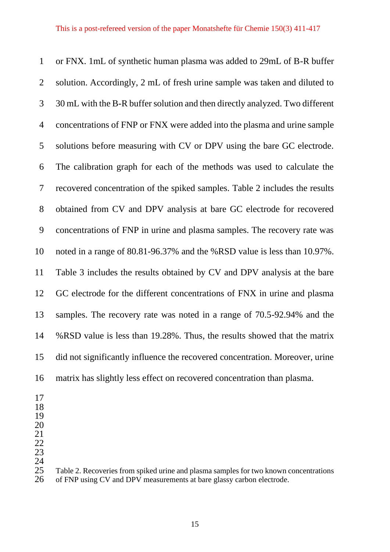or FNX. 1mL of synthetic human plasma was added to 29mL of B-R buffer solution. Accordingly, 2 mL of fresh urine sample was taken and diluted to 30 mL with the B-R buffer solution and then directly analyzed. Two different concentrations of FNP or FNX were added into the plasma and urine sample solutions before measuring with CV or DPV using the bare GC electrode. The calibration graph for each of the methods was used to calculate the recovered concentration of the spiked samples. Table 2 includes the results obtained from CV and DPV analysis at bare GC electrode for recovered concentrations of FNP in urine and plasma samples. The recovery rate was noted in a range of 80.81-96.37% and the %RSD value is less than 10.97%. Table 3 includes the results obtained by CV and DPV analysis at the bare GC electrode for the different concentrations of FNX in urine and plasma samples. The recovery rate was noted in a range of 70.5-92.94% and the %RSD value is less than 19.28%. Thus, the results showed that the matrix did not significantly influence the recovered concentration. Moreover, urine matrix has slightly less effect on recovered concentration than plasma.

- 
- 
- 
- 
- 
- 

 $\frac{24}{25}$ Table 2. Recoveries from spiked urine and plasma samples for two known concentrations of FNP using CV and DPV measurements at bare glassy carbon electrode.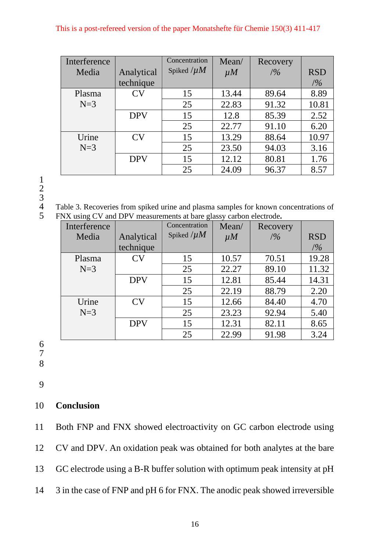### This is a post-refereed version of the paper Monatshefte für Chemie 150(3) 411-417

| Interference<br>Media | Analytical | Concentration<br>Spiked $/\mu M$ | Mean/<br>$\mu$ <i>M</i> | Recovery<br>/9/0 | <b>RSD</b> |
|-----------------------|------------|----------------------------------|-------------------------|------------------|------------|
|                       | technique  |                                  |                         |                  | /9/0       |
| Plasma                | CV         | 15                               | 13.44                   | 89.64            | 8.89       |
| $N=3$                 |            | 25                               | 22.83                   | 91.32            | 10.81      |
|                       | <b>DPV</b> | 15                               | 12.8                    | 85.39            | 2.52       |
|                       |            | 25                               | 22.77                   | 91.10            | 6.20       |
| Urine                 | CV         | 15                               | 13.29                   | 88.64            | 10.97      |
| $N=3$                 |            | 25                               | 23.50                   | 94.03            | 3.16       |
|                       | <b>DPV</b> | 15                               | 12.12                   | 80.81            | 1.76       |
|                       |            | 25                               | 24.09                   | 96.37            | 8.57       |

1 2 3

4 Table 3. Recoveries from spiked urine and plasma samples for known concentrations of<br>5 FNX using CV and DPV measurements at bare glassy carbon electrode. 5 FNX using CV and DPV measurements at bare glassy carbon electrode**.**

| Interference |            | Concentration   | Mean/          | Recovery |            |
|--------------|------------|-----------------|----------------|----------|------------|
| Media        | Analytical | Spiked $/\mu M$ | $\mu$ <i>M</i> | /9/0     | <b>RSD</b> |
|              | technique  |                 |                |          | /2/6       |
| Plasma       | CV         | 15              | 10.57          | 70.51    | 19.28      |
| $N=3$        |            | 25              | 22.27          | 89.10    | 11.32      |
|              | <b>DPV</b> | 15              | 12.81          | 85.44    | 14.31      |
|              |            | 25              | 22.19          | 88.79    | 2.20       |
| Urine        | CV         | 15              | 12.66          | 84.40    | 4.70       |
| $N=3$        |            | 25              | 23.23          | 92.94    | 5.40       |
|              | <b>DPV</b> | 15              | 12.31          | 82.11    | 8.65       |
|              |            | 25              | 22.99          | 91.98    | 3.24       |

6

- 7
- 8

9

### 10 **Conclusion**

11 Both FNP and FNX showed electroactivity on GC carbon electrode using

- 12 CV and DPV. An oxidation peak was obtained for both analytes at the bare
- 13 GC electrode using a B-R buffer solution with optimum peak intensity at pH
- 14 3 in the case of FNP and pH 6 for FNX. The anodic peak showed irreversible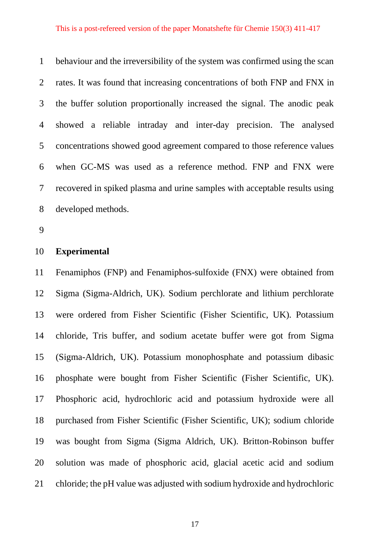behaviour and the irreversibility of the system was confirmed using the scan rates. It was found that increasing concentrations of both FNP and FNX in the buffer solution proportionally increased the signal. The anodic peak showed a reliable intraday and inter-day precision. The analysed concentrations showed good agreement compared to those reference values when GC-MS was used as a reference method. FNP and FNX were recovered in spiked plasma and urine samples with acceptable results using developed methods.

### **Experimental**

 Fenamiphos (FNP) and Fenamiphos-sulfoxide (FNX) were obtained from Sigma (Sigma-Aldrich, UK). Sodium perchlorate and lithium perchlorate were ordered from Fisher Scientific (Fisher Scientific, UK). Potassium chloride, Tris buffer, and sodium acetate buffer were got from Sigma (Sigma-Aldrich, UK). Potassium monophosphate and potassium dibasic phosphate were bought from Fisher Scientific (Fisher Scientific, UK). Phosphoric acid, hydrochloric acid and potassium hydroxide were all purchased from Fisher Scientific (Fisher Scientific, UK); sodium chloride was bought from Sigma (Sigma Aldrich, UK). Britton-Robinson buffer solution was made of phosphoric acid, glacial acetic acid and sodium chloride; the pH value was adjusted with sodium hydroxide and hydrochloric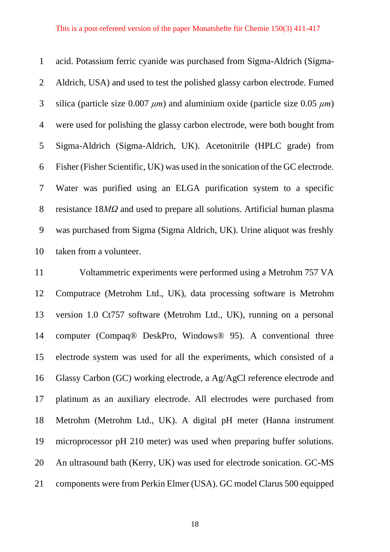acid. Potassium ferric cyanide was purchased from Sigma-Aldrich (Sigma- Aldrich, USA) and used to test the polished glassy carbon electrode. Fumed silica (particle size 0.007 *μm*) and aluminium oxide (particle size 0.05 *μm*) were used for polishing the glassy carbon electrode, were both bought from Sigma-Aldrich (Sigma-Aldrich, UK). Acetonitrile (HPLC grade) from Fisher (Fisher Scientific, UK) was used in the sonication of the GC electrode. Water was purified using an ELGA purification system to a specific resistance 18*MΩ* and used to prepare all solutions. Artificial human plasma was purchased from Sigma (Sigma Aldrich, UK). Urine aliquot was freshly taken from a volunteer.

 Voltammetric experiments were performed using a Metrohm 757 VA Computrace (Metrohm Ltd., UK), data processing software is Metrohm version 1.0 Ct757 software (Metrohm Ltd., UK), running on a personal computer (Compaq® DeskPro, Windows® 95). A conventional three electrode system was used for all the experiments, which consisted of a Glassy Carbon (GC) working electrode, a Ag/AgCl reference electrode and platinum as an auxiliary electrode. All electrodes were purchased from Metrohm (Metrohm Ltd., UK). A digital pH meter (Hanna instrument microprocessor pH 210 meter) was used when preparing buffer solutions. An ultrasound bath (Kerry, UK) was used for electrode sonication. GC-MS components were from Perkin Elmer (USA). GC model Clarus 500 equipped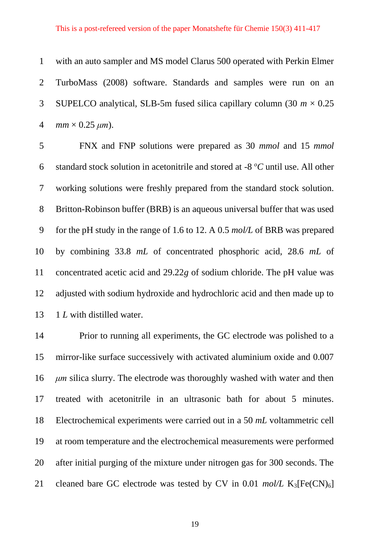### This is a post-refereed version of the paper Monatshefte für Chemie 150(3) 411-417

 with an auto sampler and MS model Clarus 500 operated with Perkin Elmer TurboMass (2008) software. Standards and samples were run on an 3 SUPELCO analytical, SLB-5m fused silica capillary column  $(30 \, m \times 0.25)$ *mm* × 0.25  $\mu$ *m*).

 FNX and FNP solutions were prepared as 30 *mmol* and 15 *mmol* 6 standard stock solution in acetonitrile and stored at -8 <sup>o</sup>C until use. All other working solutions were freshly prepared from the standard stock solution. Britton-Robinson buffer (BRB) is an aqueous universal buffer that was used for the pH study in the range of 1.6 to 12. A 0.5 *mol/L* of BRB was prepared by combining 33.8 *mL* of concentrated phosphoric acid, 28.6 *mL* of concentrated acetic acid and 29.22*g* of sodium chloride. The pH value was adjusted with sodium hydroxide and hydrochloric acid and then made up to 13 1 *L* with distilled water.

 Prior to running all experiments, the GC electrode was polished to a mirror-like surface successively with activated aluminium oxide and 0.007 *μm* silica slurry. The electrode was thoroughly washed with water and then treated with acetonitrile in an ultrasonic bath for about 5 minutes. Electrochemical experiments were carried out in a 50 *mL* voltammetric cell at room temperature and the electrochemical measurements were performed after initial purging of the mixture under nitrogen gas for 300 seconds. The 21 cleaned bare GC electrode was tested by CV in  $0.01 \text{ mol/L K}_3[\text{Fe(CN)}_6]$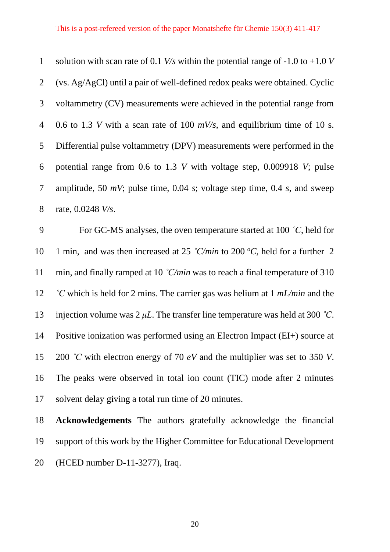| $\mathbf{1}$   | solution with scan rate of 0.1 <i>V/s</i> within the potential range of -1.0 to +1.0 <i>V</i> |
|----------------|-----------------------------------------------------------------------------------------------|
| $\overline{2}$ | (vs. Ag/AgCl) until a pair of well-defined redox peaks were obtained. Cyclic                  |
| $\mathfrak{Z}$ | voltammetry (CV) measurements were achieved in the potential range from                       |
| $\overline{4}$ | 0.6 to 1.3 V with a scan rate of 100 $mV/s$ , and equilibrium time of 10 s.                   |
| 5              | Differential pulse voltammetry (DPV) measurements were performed in the                       |
| 6              | potential range from 0.6 to 1.3 $V$ with voltage step, 0.009918 $V$ ; pulse                   |
| $\tau$         | amplitude, 50 $mV$ ; pulse time, 0.04 s; voltage step time, 0.4 s, and sweep                  |
| 8              | rate, 0.0248 <i>V/s</i> .                                                                     |
| 9              | For GC-MS analyses, the oven temperature started at 100 $\degree$ C, held for                 |
| 10             | 1 min, and was then increased at 25 °C/min to 200 °C, held for a further 2                    |
| 11             | min, and finally ramped at 10 $\degree$ C/min was to reach a final temperature of 310         |
| 12             | °C which is held for 2 mins. The carrier gas was helium at 1 $mL/min$ and the                 |
| 13             | injection volume was $2 \mu L$ . The transfer line temperature was held at 300 °C.            |
| 14             | Positive ionization was performed using an Electron Impact (EI+) source at                    |
|                |                                                                                               |
| 15             | 200 °C with electron energy of 70 $eV$ and the multiplier was set to 350 V.                   |
|                | The peaks were observed in total ion count (TIC) mode after 2 minutes                         |
| 16<br>17       | solvent delay giving a total run time of 20 minutes.                                          |

 **Acknowledgements** The authors gratefully acknowledge the financial support of this work by the Higher Committee for Educational Development (HCED number D-11-3277), Iraq.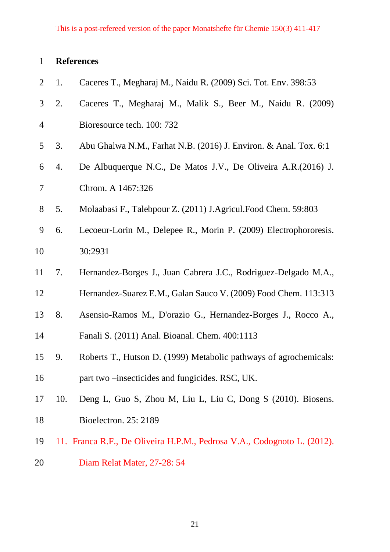# **References**

| $\overline{2}$ | 1.  | Caceres T., Megharaj M., Naidu R. (2009) Sci. Tot. Env. 398:53          |
|----------------|-----|-------------------------------------------------------------------------|
| 3              | 2.  | Caceres T., Megharaj M., Malik S., Beer M., Naidu R. (2009)             |
| $\overline{4}$ |     | Bioresource tech. 100: 732                                              |
| 5              | 3.  | Abu Ghalwa N.M., Farhat N.B. (2016) J. Environ. & Anal. Tox. 6:1        |
| 6              | 4.  | De Albuquerque N.C., De Matos J.V., De Oliveira A.R. (2016) J.          |
| $\overline{7}$ |     | Chrom. A 1467:326                                                       |
| 8              | 5.  | Molaabasi F., Talebpour Z. (2011) J.Agricul.Food Chem. 59:803           |
| 9              | 6.  | Lecoeur-Lorin M., Delepee R., Morin P. (2009) Electrophororesis.        |
| 10             |     | 30:2931                                                                 |
| 11             | 7.  | Hernandez-Borges J., Juan Cabrera J.C., Rodriguez-Delgado M.A.,         |
| 12             |     | Hernandez-Suarez E.M., Galan Sauco V. (2009) Food Chem. 113:313         |
| 13             | 8.  | Asensio-Ramos M., D'orazio G., Hernandez-Borges J., Rocco A.,           |
| 14             |     | Fanali S. (2011) Anal. Bioanal. Chem. 400:1113                          |
| 15             | 9.  | Roberts T., Hutson D. (1999) Metabolic pathways of agrochemicals:       |
| 16             |     | part two -insecticides and fungicides. RSC, UK.                         |
| 17             | 10. | Deng L, Guo S, Zhou M, Liu L, Liu C, Dong S (2010). Biosens.            |
| 18             |     | Bioelectron. 25: 2189                                                   |
| 19             |     | 11. Franca R.F., De Oliveira H.P.M., Pedrosa V.A., Codognoto L. (2012). |
| 20             |     | Diam Relat Mater, 27-28: 54                                             |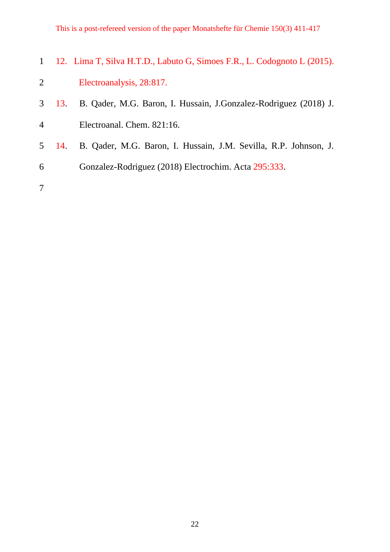This is a post-refereed version of the paper Monatshefte für Chemie 150(3) 411-417

|  | 1 12. Lima T, Silva H.T.D., Labuto G, Simoes F.R., L. Codognoto L (2015). |
|--|---------------------------------------------------------------------------|
|  | Electroanalysis, 28:817.                                                  |
|  | 3 13. B. Qader, M.G. Baron, I. Hussain, J.Gonzalez-Rodriguez (2018) J.    |

- Electroanal. Chem. 821:16.
- 14. B. Qader, M.G. Baron, I. Hussain, J.M. Sevilla, R.P. Johnson, J.
- Gonzalez-Rodriguez (2018) Electrochim. Acta 295:333.
-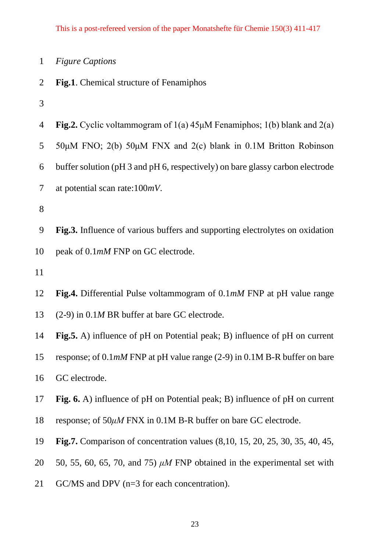|  |  | <b>Figure Captions</b> |  |
|--|--|------------------------|--|
|--|--|------------------------|--|

- **Fig.1**. Chemical structure of Fenamiphos
- 

| $\overline{4}$ | Fig.2. Cyclic voltammogram of $1(a)$ 45µM Fenamiphos; $1(b)$ blank and $2(a)$                 |
|----------------|-----------------------------------------------------------------------------------------------|
| 5              | 50μM FNO; 2(b) 50μM FNX and 2(c) blank in 0.1M Britton Robinson                               |
| 6              | buffer solution (pH 3 and pH 6, respectively) on bare glassy carbon electrode                 |
| $\tau$         | at potential scan rate: $100mV$ .                                                             |
| 8              |                                                                                               |
| 9              | Fig.3. Influence of various buffers and supporting electrolytes on oxidation                  |
| 10             | peak of 0.1mM FNP on GC electrode.                                                            |
| 11             |                                                                                               |
| 12             | Fig.4. Differential Pulse voltammogram of 0.1mM FNP at pH value range                         |
| 13             | $(2-9)$ in 0.1 <i>M</i> BR buffer at bare GC electrode.                                       |
| 14             | <b>Fig.5.</b> A) influence of pH on Potential peak; B) influence of pH on current             |
| 15             | response; of $0.1 \text{m}M$ FNP at pH value range (2-9) in $0.1 \text{m}B$ -R buffer on bare |
| 16             | GC electrode.                                                                                 |
| 17             | Fig. 6. A) influence of pH on Potential peak; B) influence of pH on current                   |
| 18             | response; of $50\mu$ M FNX in 0.1M B-R buffer on bare GC electrode.                           |
| 19             | <b>Fig.7.</b> Comparison of concentration values (8,10, 15, 20, 25, 30, 35, 40, 45,           |
| 20             | 50, 55, 60, 65, 70, and 75) $\mu$ M FNP obtained in the experimental set with                 |
| 21             | $GC/MS$ and DPV ( $n=3$ for each concentration).                                              |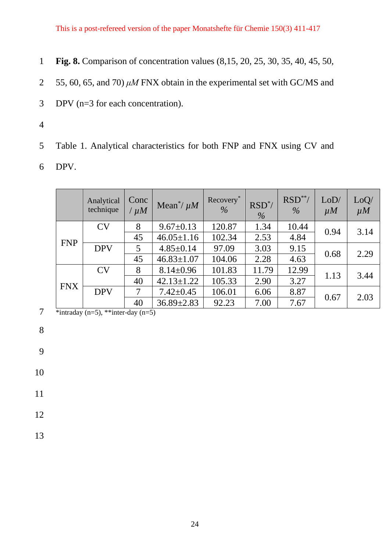- 1 **Fig. 8.** Comparison of concentration values (8,15, 20, 25, 30, 35, 40, 45, 50,
- 2 55, 60, 65, and 70) *μM* FNX obtain in the experimental set with GC/MS and
- 3 DPV (n=3 for each concentration).
- 4

5 Table 1. Analytical characteristics for both FNP and FNX using CV and

6 DPV.

|            | Analytical<br>technique | Conc<br>$/\mu M$ | Mean <sup>*</sup> / $\mu$ <i>M</i> | Recovery*<br>$\%$ | $RSD^*$<br>$\frac{0}{6}$ | $RSD**/$<br>$\frac{0}{0}$ | LoD/<br>$\mu$ <i>M</i> | LoQ/<br>$\mu$ <i>M</i> |
|------------|-------------------------|------------------|------------------------------------|-------------------|--------------------------|---------------------------|------------------------|------------------------|
|            | CV                      | 8                | $9.67 \pm 0.13$                    | 120.87            | 1.34                     | 10.44                     | 0.94                   | 3.14                   |
| <b>FNP</b> |                         | 45               | $46.05 \pm 1.16$                   | 102.34            | 2.53                     | 4.84                      |                        |                        |
|            | <b>DPV</b>              | 5                | $4.85 \pm 0.14$                    | 97.09             | 3.03                     | 9.15                      | 0.68                   | 2.29                   |
|            |                         | 45               | $46.83 \pm 1.07$                   | 104.06            | 2.28                     | 4.63                      |                        |                        |
|            | CV                      | 8                | $8.14 \pm 0.96$                    | 101.83            | 11.79                    | 12.99                     | 1.13                   | 3.44                   |
| <b>FNX</b> |                         | 40               | $42.13 \pm 1.22$                   | 105.33            | 2.90                     | 3.27                      |                        |                        |
|            | <b>DPV</b>              | 7                | $7.42 \pm 0.45$                    | 106.01            | 6.06                     | 8.87                      |                        | 2.03                   |
|            |                         | 40               | $36.89 \pm 2.83$                   | 92.23             | 7.00                     | 7.67                      | 0.67                   |                        |

7 \*intraday (n=5), \*\*inter-day (n=5)

8

9

10

- 12
- 13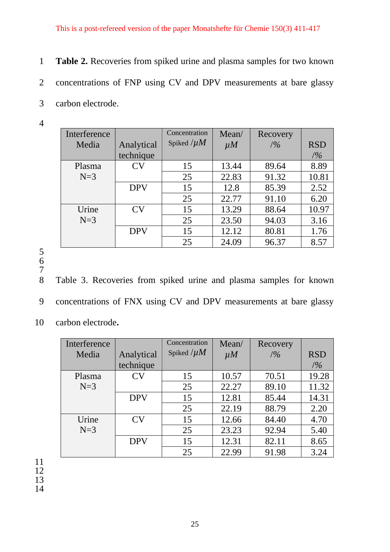- 1 **Table 2.** Recoveries from spiked urine and plasma samples for two known 2 concentrations of FNP using CV and DPV measurements at bare glassy 3 carbon electrode.
- 4

| Interference |            | Concentration   | Mean/          | <b>Recovery</b> |            |
|--------------|------------|-----------------|----------------|-----------------|------------|
| Media        | Analytical | Spiked $/\mu M$ | $\mu$ <i>M</i> | /9/0            | <b>RSD</b> |
|              | technique  |                 |                |                 | /9/6       |
| Plasma       | CV         | 15              | 13.44          | 89.64           | 8.89       |
| $N=3$        |            | 25              | 22.83          | 91.32           | 10.81      |
|              | <b>DPV</b> | 15              | 12.8           | 85.39           | 2.52       |
|              |            | 25              | 22.77          | 91.10           | 6.20       |
| Urine        | CV         | 15              | 13.29          | 88.64           | 10.97      |
| $N=3$        |            | 25              | 23.50          | 94.03           | 3.16       |
|              | <b>DPV</b> | 15              | 12.12          | 80.81           | 1.76       |
|              |            | 25              | 24.09          | 96.37           | 8.57       |

- 5
- 6 7
- 8 Table 3. Recoveries from spiked urine and plasma samples for known
- 9 concentrations of FNX using CV and DPV measurements at bare glassy
- 10 carbon electrode**.**

| Interference |            | Concentration   | Mean/          | Recovery |            |
|--------------|------------|-----------------|----------------|----------|------------|
| Media        | Analytical | Spiked $/\mu M$ | $\mu$ <i>M</i> | /9/0     | <b>RSD</b> |
|              | technique  |                 |                |          | /9/0       |
| Plasma       | CV         | 15              | 10.57          | 70.51    | 19.28      |
| $N=3$        |            | 25              | 22.27          | 89.10    | 11.32      |
|              | <b>DPV</b> | 15              | 12.81          | 85.44    | 14.31      |
|              |            | 25              | 22.19          | 88.79    | 2.20       |
| Urine        | CV         | 15              | 12.66          | 84.40    | 4.70       |
| $N=3$        |            | 25              | 23.23          | 92.94    | 5.40       |
|              | <b>DPV</b> | 15              | 12.31          | 82.11    | 8.65       |
|              |            | 25              | 22.99          | 91.98    | 3.24       |

11 12

13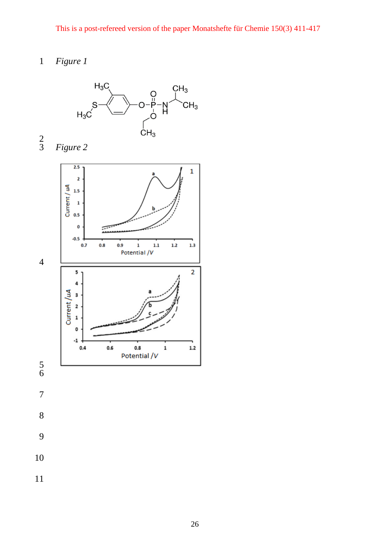# *Figure 1*

*Figure 2*



 $\frac{2}{3}$ 

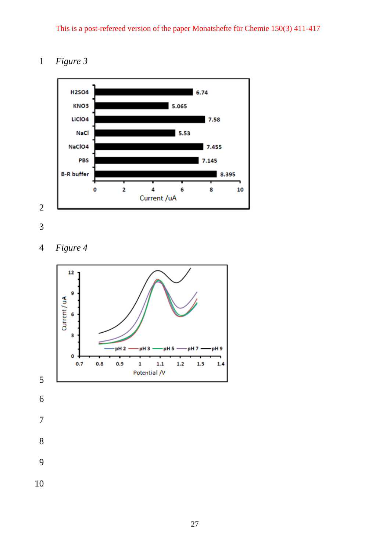This is a post-refereed version of the paper Monatshefte für Chemie 150(3) 411-417

### *Figure 3*





*Figure 4*

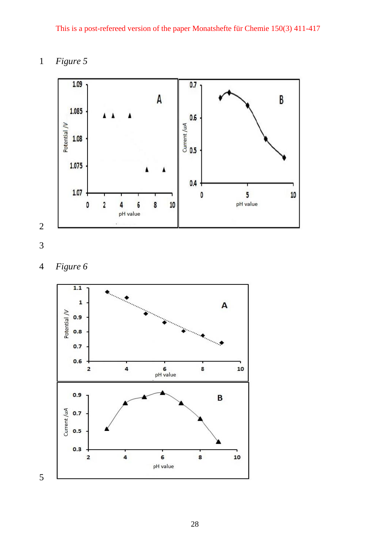*Figure 5*





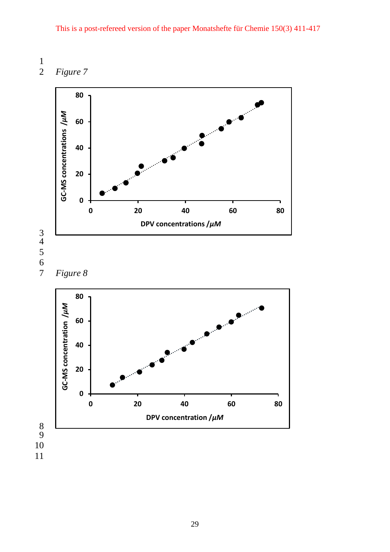$\frac{1}{2}$ 

*Figure 7*